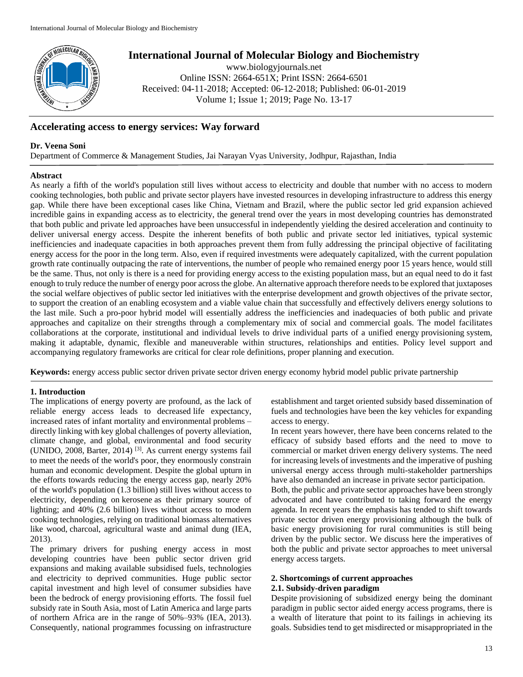

# **International Journal of Molecular Biology and Biochemistry**

www.biologyjournals.net Online ISSN: 2664-651X; Print ISSN: 2664-6501 Received: 04-11-2018; Accepted: 06-12-2018; Published: 06-01-2019 Volume 1; Issue 1; 2019; Page No. 13-17

# **Accelerating access to energy services: Way forward**

## **Dr. Veena Soni**

Department of Commerce & Management Studies, Jai Narayan Vyas University, Jodhpur, Rajasthan, India

## **Abstract**

As nearly a fifth of the world's population still lives without access to electricity and double that number with no access to modern cooking technologies, both public and private sector players have invested resources in developing infrastructure to address this energy gap. While there have been exceptional cases like China, Vietnam and Brazil, where the public sector led grid expansion achieved incredible gains in expanding access as to electricity, the general trend over the years in most developing countries has demonstrated that both public and private led approaches have been unsuccessful in independently yielding the desired acceleration and continuity to deliver universal energy access. Despite the inherent benefits of both public and private sector led initiatives, typical systemic inefficiencies and inadequate capacities in both approaches prevent them from fully addressing the principal objective of facilitating energy access for the poor in the long term. Also, even if required investments were adequately capitalized, with the current population growth rate continually outpacing the rate of interventions, the number of people who remained energy poor 15 years hence, would still be the same. Thus, not only is there is a need for providing energy access to the existing population mass, but an equal need to do it fast enough to truly reduce the number of energy poor across the globe. An alternative approach therefore needs to be explored that juxtaposes the social welfare objectives of public sector led initiatives with the enterprise development and growth objectives of the private sector, to support the creation of an enabling ecosystem and a viable value chain that successfully and effectively delivers energy solutions to the last mile. Such a pro-poor hybrid model will essentially address the inefficiencies and inadequacies of both public and private approaches and capitalize on their strengths through a complementary mix of social and commercial goals. The model facilitates collaborations at the corporate, institutional and individual levels to drive individual parts of a unified energy provisioning system, making it adaptable, dynamic, flexible and maneuverable within structures, relationships and entities. Policy level support and accompanying regulatory frameworks are critical for clear role definitions, proper planning and execution.

**Keywords:** energy access public sector driven private sector driven energy economy hybrid model public private partnership

## **1. Introduction**

The implications of energy poverty are profound, as the lack of reliable energy access leads to decreased life expectancy, increased rates of infant mortality and environmental problems – directly linking with key global challenges of poverty alleviation, climate change, and global, environmental and food security (UNIDO, 2008, Barter, 2014) [3]. As current energy systems fail to meet the needs of the world's poor, they enormously constrain human and economic development. Despite the global upturn in the efforts towards reducing the energy access gap, nearly 20% of the world's population (1.3 billion) still lives without access to electricity, depending on kerosene as their primary source of lighting; and 40% (2.6 billion) lives without access to modern cooking technologies, relying on traditional biomass alternatives like wood, charcoal, agricultural waste and animal dung (IEA, 2013).

The primary drivers for pushing energy access in most developing countries have been public sector driven grid expansions and making available subsidised fuels, technologies and electricity to deprived communities. Huge public sector capital investment and high level of consumer subsidies have been the bedrock of energy provisioning efforts. The fossil fuel subsidy rate in South Asia, most of Latin America and large parts of northern Africa are in the range of 50%–93% (IEA, 2013). Consequently, national programmes focussing on infrastructure establishment and target oriented subsidy based dissemination of fuels and technologies have been the key vehicles for expanding access to energy.

In recent years however, there have been concerns related to the efficacy of subsidy based efforts and the need to move to commercial or market driven energy delivery systems. The need for increasing levels of investments and the imperative of pushing universal energy access through multi-stakeholder partnerships have also demanded an increase in private sector participation.

Both, the public and private sector approaches have been strongly advocated and have contributed to taking forward the energy agenda. In recent years the emphasis has tended to shift towards private sector driven energy provisioning although the bulk of basic energy provisioning for rural communities is still being driven by the public sector. We discuss here the imperatives of both the public and private sector approaches to meet universal energy access targets.

# **2. Shortcomings of current approaches**

# **2.1. Subsidy-driven paradigm**

Despite provisioning of subsidized energy being the dominant paradigm in public sector aided energy access programs, there is a wealth of literature that point to its failings in achieving its goals. Subsidies tend to get misdirected or misappropriated in the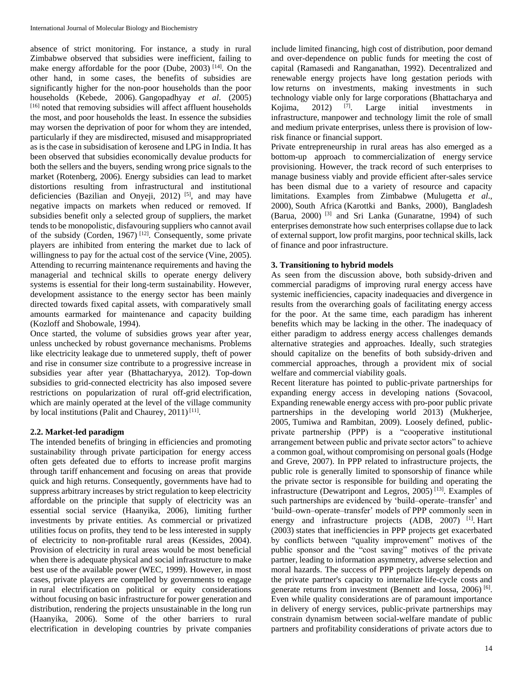absence of strict monitoring. For instance, a study in rural Zimbabwe observed that subsidies were inefficient, failing to make energy affordable for the poor (Dube, 2003)  $[14]$ . On the other hand, in some cases, the benefits of subsidies are significantly higher for the non-poor households than the poor households (Kebede, 2006). Gangopadhyay *et al*. (2005) [16] noted that removing subsidies will affect affluent households the most, and poor households the least. In essence the subsidies may worsen the deprivation of poor for whom they are intended, particularly if they are misdirected, misused and misappropriated as is the case in subsidisation of kerosene and LPG in India. It has been observed that subsidies economically devalue products for both the sellers and the buyers, sending wrong price signals to the market (Rotenberg, 2006). Energy subsidies can lead to market distortions resulting from infrastructural and institutional deficiencies (Bazilian and Onyeji, 2012)  $[5]$ , and may have negative impacts on markets when reduced or removed. If subsidies benefit only a selected group of suppliers, the market tends to be monopolistic, disfavouring suppliers who cannot avail of the subsidy (Corden, 1967) [12]. Consequently, some private players are inhibited from entering the market due to lack of willingness to pay for the actual cost of the service (Vine, 2005). Attending to recurring maintenance requirements and having the managerial and technical skills to operate energy delivery systems is essential for their long-term sustainability. However, development assistance to the energy sector has been mainly directed towards fixed capital assets, with comparatively small amounts earmarked for maintenance and capacity building (Kozloff and Shobowale, 1994).

Once started, the volume of subsidies grows year after year, unless unchecked by robust governance mechanisms. Problems like electricity leakage due to unmetered supply, theft of power and rise in consumer size contribute to a progressive increase in subsidies year after year (Bhattacharyya, 2012). Top-down subsidies to grid-connected electricity has also imposed severe restrictions on popularization of rural off-grid electrification, which are mainly operated at the level of the village community by local institutions (Palit and Chaurey, 2011)<sup>[11]</sup>.

## **2.2. Market-led paradigm**

The intended benefits of bringing in efficiencies and promoting sustainability through private participation for energy access often gets defeated due to efforts to increase profit margins through tariff enhancement and focusing on areas that provide quick and high returns. Consequently, governments have had to suppress arbitrary increases by strict regulation to keep electricity affordable on the principle that supply of electricity was an essential social service (Haanyika, 2006), limiting further investments by private entities. As commercial or privatized utilities focus on profits, they tend to be less interested in supply of electricity to non-profitable rural areas (Kessides, 2004). Provision of electricity in rural areas would be most beneficial when there is adequate physical and social infrastructure to make best use of the available power (WEC, 1999). However, in most cases, private players are compelled by governments to engage in rural electrification on political or equity considerations without focusing on basic infrastructure for power generation and distribution, rendering the projects unsustainable in the long run (Haanyika, 2006). Some of the other barriers to rural electrification in developing countries by private companies

include limited financing, high cost of distribution, poor demand and over-dependence on public funds for meeting the cost of capital (Ramasedi and Ranganathan, 1992). Decentralized and renewable energy projects have long gestation periods with low returns on investments, making investments in such technology viable only for large corporations (Bhattacharya and Kojima, 2012)  $^{[7]}$ . Large initial investments in infrastructure, manpower and technology limit the role of small and medium private enterprises, unless there is provision of lowrisk finance or financial support.

Private entrepreneurship in rural areas has also emerged as a bottom-up approach to commercialization of energy service provisioning. However, the track record of such enterprises to manage business viably and provide efficient after-sales service has been dismal due to a variety of resource and capacity limitations. Examples from Zimbabwe (Mulugetta *et al*., 2000), South Africa (Karottki and Banks, 2000), Bangladesh (Barua, 2000) [3] and Sri Lanka (Gunaratne, 1994) of such enterprises demonstrate how such enterprises collapse due to lack of external support, low profit margins, poor technical skills, lack of finance and poor infrastructure.

## **3. Transitioning to hybrid models**

As seen from the discussion above, both subsidy-driven and commercial paradigms of improving rural energy access have systemic inefficiencies, capacity inadequacies and divergence in results from the overarching goals of facilitating energy access for the poor. At the same time, each paradigm has inherent benefits which may be lacking in the other. The inadequacy of either paradigm to address energy access challenges demands alternative strategies and approaches. Ideally, such strategies should capitalize on the benefits of both subsidy-driven and commercial approaches, through a provident mix of social welfare and commercial viability goals.

Recent literature has pointed to public-private partnerships for expanding energy access in developing nations (Sovacool, Expanding renewable energy access with pro-poor public private partnerships in the developing world 2013) (Mukherjee, 2005, Tumiwa and Rambitan, 2009). Loosely defined, publicprivate partnership (PPP) is a "cooperative institutional arrangement between public and private sector actors" to achieve a common goal, without compromising on personal goals (Hodge and Greve, 2007). In PPP related to infrastructure projects, the public role is generally limited to sponsorship of finance while the private sector is responsible for building and operating the infrastructure (Dewatripont and Legros,  $2005$ )<sup>[13]</sup>. Examples of such partnerships are evidenced by 'build-operate-transfer' and 'build–own–operate–transfer' models of PPP commonly seen in energy and infrastructure projects (ADB, 2007) <sup>[1]</sup>. Hart (2003) states that inefficiencies in PPP projects get exacerbated by conflicts between "quality improvement" motives of the public sponsor and the "cost saving" motives of the private partner, leading to information asymmetry, adverse selection and moral hazards. The success of PPP projects largely depends on the private partner's capacity to internalize life-cycle costs and generate returns from investment (Bennett and Iossa, 2006)<sup>[6]</sup>. Even while quality considerations are of paramount importance in delivery of energy services, public-private partnerships may constrain dynamism between social-welfare mandate of public partners and profitability considerations of private actors due to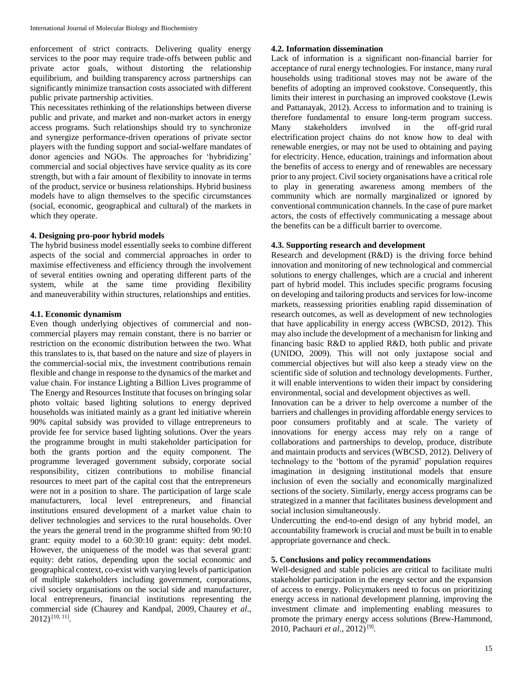enforcement of strict contracts. Delivering quality energy services to the poor may require trade-offs between public and private actor goals, without distorting the relationship equilibrium, and building transparency across partnerships can significantly minimize transaction costs associated with different public private partnership activities.

This necessitates rethinking of the relationships between diverse public and private, and market and non-market actors in energy access programs. Such relationships should try to synchronize and synergize performance-driven operations of private sector players with the funding support and social-welfare mandates of donor agencies and NGOs. The approaches for 'hybridizing' commercial and social objectives have service quality as its core strength, but with a fair amount of flexibility to innovate in terms of the product, service or business relationships. Hybrid business models have to align themselves to the specific circumstances (social, economic, geographical and cultural) of the markets in which they operate.

## **4. Designing pro-poor hybrid models**

The hybrid business model essentially seeks to combine different aspects of the social and commercial approaches in order to maximise effectiveness and efficiency through the involvement of several entities owning and operating different parts of the system, while at the same time providing flexibility and maneuverability within structures, relationships and entities.

#### **4.1. Economic dynamism**

Even though underlying objectives of commercial and noncommercial players may remain constant, there is no barrier or restriction on the economic distribution between the two. What this translates to is, that based on the nature and size of players in the commercial-social mix, the investment contributions remain flexible and change in response to the dynamics of the market and value chain. For instance Lighting a Billion Lives programme of The Energy and Resources Institute that focuses on bringing solar photo voltaic based lighting solutions to energy deprived households was initiated mainly as a grant led initiative wherein 90% capital subsidy was provided to village entrepreneurs to provide fee for service based lighting solutions. Over the years the programme brought in multi stakeholder participation for both the grants portion and the equity component. The programme leveraged government subsidy, corporate social responsibility, citizen contributions to mobilise financial resources to meet part of the capital cost that the entrepreneurs were not in a position to share. The participation of large scale manufacturers, local level entrepreneurs, and financial institutions ensured development of a market value chain to deliver technologies and services to the rural households. Over the years the general trend in the programme shifted from 90:10 grant: equity model to a 60:30:10 grant: equity: debt model. However, the uniqueness of the model was that several grant: equity: debt ratios, depending upon the social economic and geographical context, co-exist with varying levels of participation of multiple stakeholders including government, corporations, civil society organisations on the social side and manufacturer, local entrepreneurs, financial institutions representing the commercial side (Chaurey and Kandpal, 2009, Chaurey *et al*.,  $2012)$ <sup>[10, 11]</sup>.

## **4.2. Information dissemination**

Lack of information is a significant non-financial barrier for acceptance of rural energy technologies. For instance, many rural households using traditional stoves may not be aware of the benefits of adopting an improved cookstove. Consequently, this limits their interest in purchasing an improved cookstove (Lewis and Pattanayak, 2012). Access to information and to training is therefore fundamental to ensure long-term program success. Many stakeholders involved in the off-grid rural electrification project chains do not know how to deal with renewable energies, or may not be used to obtaining and paying for electricity. Hence, education, trainings and information about the benefits of access to energy and of renewables are necessary prior to any project. Civil society organisations have a critical role to play in generating awareness among members of the community which are normally marginalized or ignored by conventional communication channels. In the case of pure market actors, the costs of effectively communicating a message about the benefits can be a difficult barrier to overcome.

## **4.3. Supporting research and development**

Research and development (R&D) is the driving force behind innovation and monitoring of new technological and commercial solutions to energy challenges, which are a crucial and inherent part of hybrid model. This includes specific programs focusing on developing and tailoring products and services for low-income markets, reassessing priorities enabling rapid dissemination of research outcomes, as well as development of new technologies that have applicability in energy access (WBCSD, 2012). This may also include the development of a mechanism for linking and financing basic R&D to applied R&D, both public and private (UNIDO, 2009). This will not only juxtapose social and commercial objectives but will also keep a steady view on the scientific side of solution and technology developments. Further, it will enable interventions to widen their impact by considering environmental, social and development objectives as well.

Innovation can be a driver to help overcome a number of the barriers and challenges in providing affordable energy services to poor consumers profitably and at scale. The variety of innovations for energy access may rely on a range of collaborations and partnerships to develop, produce, distribute and maintain products and services (WBCSD, 2012). Delivery of technology to the 'bottom of the pyramid' population requires imagination in designing institutional models that ensure inclusion of even the socially and economically marginalized sections of the society. Similarly, energy access programs can be strategized in a manner that facilitates business development and social inclusion simultaneously.

Undercutting the end-to-end design of any hybrid model, an accountability framework is crucial and must be built in to enable appropriate governance and check.

## **5. Conclusions and policy recommendations**

Well-designed and stable policies are critical to facilitate multi stakeholder participation in the energy sector and the expansion of access to energy. Policymakers need to focus on prioritizing energy access in national development planning, improving the investment climate and implementing enabling measures to promote the primary energy access solutions (Brew-Hammond, 2010, Pachauri *et al.*, 2012)<sup>[9]</sup>.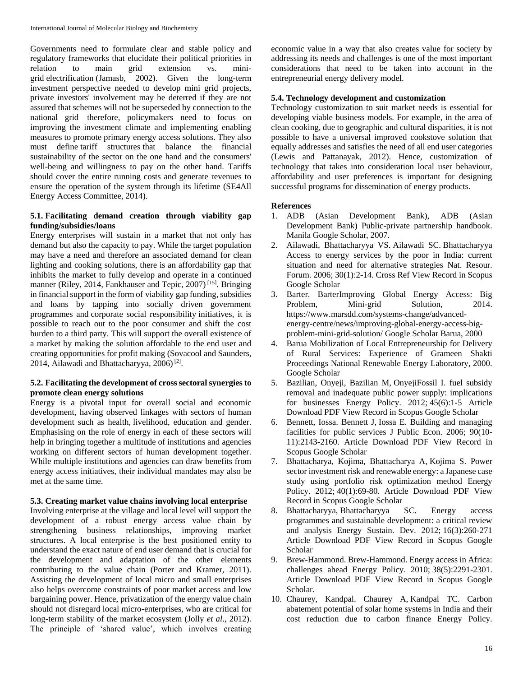Governments need to formulate clear and stable policy and regulatory frameworks that elucidate their political priorities in relation to main grid extension vs. minigrid electrification (Jamasb, 2002). Given the long-term investment perspective needed to develop mini grid projects, private investors' involvement may be deterred if they are not assured that schemes will not be superseded by connection to the national grid—therefore, policymakers need to focus on improving the investment climate and implementing enabling measures to promote primary energy access solutions. They also must define tariff structures that balance the financial sustainability of the sector on the one hand and the consumers' well-being and willingness to pay on the other hand. Tariffs should cover the entire running costs and generate revenues to ensure the operation of the system through its lifetime (SE4All Energy Access Committee, 2014).

## **5.1. Facilitating demand creation through viability gap funding/subsidies/loans**

Energy enterprises will sustain in a market that not only has demand but also the capacity to pay. While the target population may have a need and therefore an associated demand for clean lighting and cooking solutions, there is an affordability gap that inhibits the market to fully develop and operate in a continued manner (Riley, 2014, Fankhauser and Tepic, 2007)<sup>[15]</sup>. Bringing in financial support in the form of viability gap funding, subsidies and loans by tapping into socially driven government programmes and corporate social responsibility initiatives, it is possible to reach out to the poor consumer and shift the cost burden to a third party. This will support the overall existence of a market by making the solution affordable to the end user and creating opportunities for profit making (Sovacool and Saunders, 2014, Ailawadi and Bhattacharyya, 2006)<sup>[2]</sup>.

## **5.2. Facilitating the development of cross sectoral synergies to promote clean energy solutions**

Energy is a pivotal input for overall social and economic development, having observed linkages with sectors of human development such as health, livelihood, education and gender. Emphasising on the role of energy in each of these sectors will help in bringing together a multitude of institutions and agencies working on different sectors of human development together. While multiple institutions and agencies can draw benefits from energy access initiatives, their individual mandates may also be met at the same time.

## **5.3. Creating market value chains involving local enterprise**

Involving enterprise at the village and local level will support the development of a robust energy access value chain by strengthening business relationships, improving market structures. A local enterprise is the best positioned entity to understand the exact nature of end user demand that is crucial for the development and adaptation of the other elements contributing to the value chain (Porter and Kramer, 2011). Assisting the development of local micro and small enterprises also helps overcome constraints of poor market access and low bargaining power. Hence, privatization of the energy value chain should not disregard local micro-enterprises, who are critical for long-term stability of the market ecosystem (Jolly *et al*., 2012). The principle of 'shared value', which involves creating

economic value in a way that also creates value for society by addressing its needs and challenges is one of the most important considerations that need to be taken into account in the entrepreneurial energy delivery model.

## **5.4. Technology development and customization**

Technology customization to suit market needs is essential for developing viable business models. For example, in the area of clean cooking, due to geographic and cultural disparities, it is not possible to have a universal improved cookstove solution that equally addresses and satisfies the need of all end user categories (Lewis and Pattanayak, 2012). Hence, customization of technology that takes into consideration local user behaviour, affordability and user preferences is important for designing successful programs for dissemination of energy products.

## **References**

- 1. ADB (Asian Development Bank), ADB (Asian Development Bank) Public-private partnership handbook. Manila Google Scholar, 2007.
- 2. Ailawadi, Bhattacharyya VS. Ailawadi SC. Bhattacharyya Access to energy services by the poor in India: current situation and need for alternative strategies Nat. Resour. Forum. 2006; 30(1):2-14. Cross Ref View Record in Scopus Google Scholar
- 3. Barter. BarterImproving Global Energy Access: Big Problem, Mini-grid Solution, 2014. https://www.marsdd.com/systems-change/advancedenergy-centre/news/improving-global-energy-access-bigproblem-mini-grid-solution/ Google Scholar Barua, 2000
- 4. Barua Mobilization of Local Entrepreneurship for Delivery of Rural Services: Experience of Grameen Shakti Proceedings National Renewable Energy Laboratory, 2000. Google Scholar
- 5. Bazilian, Onyeji, Bazilian M, OnyejiFossil I. fuel subsidy removal and inadequate public power supply: implications for businesses Energy Policy. 2012; 45(6):1-5 Article Download PDF View Record in Scopus Google Scholar
- 6. Bennett, Iossa. Bennett J, Iossa E. Building and managing facilities for public services J Public Econ. 2006; 90(10- 11):2143-2160. Article Download PDF View Record in Scopus Google Scholar
- 7. Bhattacharya, Kojima, Bhattacharya A, Kojima S. Power sector investment risk and renewable energy: a Japanese case study using portfolio risk optimization method Energy Policy. 2012; 40(1):69-80. Article Download PDF View Record in Scopus Google Scholar
- 8. Bhattacharyya, Bhattacharyya SC. Energy access programmes and sustainable development: a critical review and analysis Energy Sustain. Dev. 2012; 16(3):260-271 Article Download PDF View Record in Scopus Google Scholar
- 9. Brew-Hammond. Brew-Hammond. Energy access in Africa: challenges ahead Energy Policy. 2010; 38(5):2291-2301. Article Download PDF View Record in Scopus Google Scholar.
- 10. Chaurey, Kandpal. Chaurey A, Kandpal TC. Carbon abatement potential of solar home systems in India and their cost reduction due to carbon finance Energy Policy.